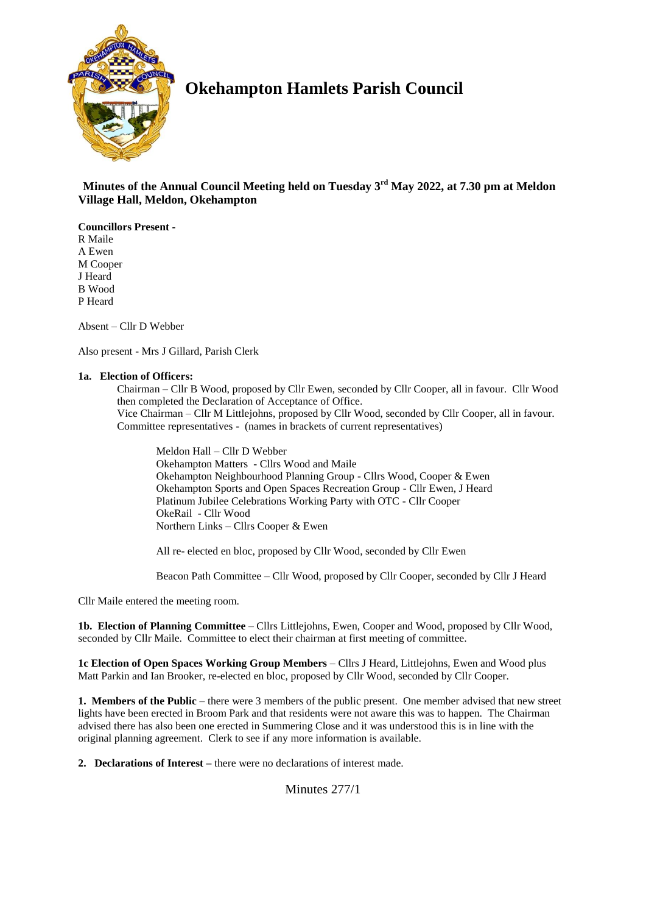

# **Okehampton Hamlets Parish Council**

 **Minutes of the Annual Council Meeting held on Tuesday 3 rd May 2022, at 7.30 pm at Meldon Village Hall, Meldon, Okehampton**

**Councillors Present -** R Maile A Ewen M Cooper J Heard B Wood P Heard

Absent – Cllr D Webber

Also present - Mrs J Gillard, Parish Clerk

## **1a. Election of Officers:**

Chairman – Cllr B Wood, proposed by Cllr Ewen, seconded by Cllr Cooper, all in favour. Cllr Wood then completed the Declaration of Acceptance of Office. Vice Chairman – Cllr M Littlejohns, proposed by Cllr Wood, seconded by Cllr Cooper, all in favour. Committee representatives - (names in brackets of current representatives)

Meldon Hall – Cllr D Webber Okehampton Matters - Cllrs Wood and Maile Okehampton Neighbourhood Planning Group - Cllrs Wood, Cooper & Ewen Okehampton Sports and Open Spaces Recreation Group - Cllr Ewen, J Heard Platinum Jubilee Celebrations Working Party with OTC - Cllr Cooper OkeRail - Cllr Wood Northern Links – Cllrs Cooper & Ewen

All re- elected en bloc, proposed by Cllr Wood, seconded by Cllr Ewen

Beacon Path Committee – Cllr Wood, proposed by Cllr Cooper, seconded by Cllr J Heard

Cllr Maile entered the meeting room.

**1b. Election of Planning Committee** – Cllrs Littlejohns, Ewen, Cooper and Wood, proposed by Cllr Wood, seconded by Cllr Maile. Committee to elect their chairman at first meeting of committee.

**1c Election of Open Spaces Working Group Members** – Cllrs J Heard, Littlejohns, Ewen and Wood plus Matt Parkin and Ian Brooker, re-elected en bloc, proposed by Cllr Wood, seconded by Cllr Cooper.

**1. Members of the Public** – there were 3 members of the public present. One member advised that new street lights have been erected in Broom Park and that residents were not aware this was to happen. The Chairman advised there has also been one erected in Summering Close and it was understood this is in line with the original planning agreement. Clerk to see if any more information is available.

**2. Declarations of Interest –** there were no declarations of interest made.

Minutes 277/1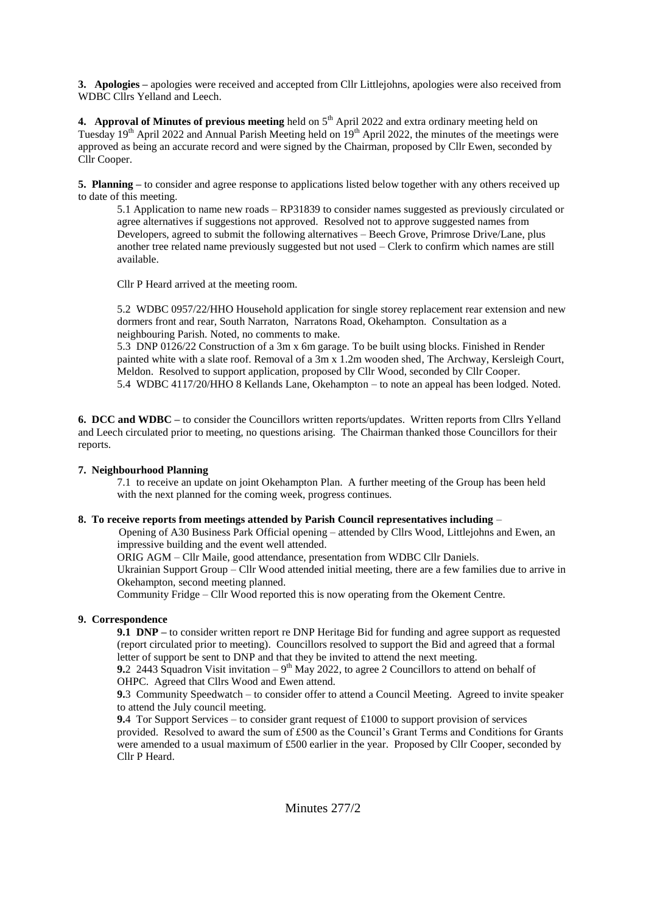**3. Apologies –** apologies were received and accepted from Cllr Littlejohns, apologies were also received from WDBC Cllrs Yelland and Leech.

**4. Approval of Minutes of previous meeting** held on 5<sup>th</sup> April 2022 and extra ordinary meeting held on Tuesday  $19<sup>th</sup>$  April 2022 and Annual Parish Meeting held on  $19<sup>th</sup>$  April 2022, the minutes of the meetings were approved as being an accurate record and were signed by the Chairman, proposed by Cllr Ewen, seconded by Cllr Cooper.

**5. Planning –** to consider and agree response to applications listed below together with any others received up to date of this meeting.

5.1 Application to name new roads – RP31839 to consider names suggested as previously circulated or agree alternatives if suggestions not approved. Resolved not to approve suggested names from Developers, agreed to submit the following alternatives – Beech Grove, Primrose Drive/Lane, plus another tree related name previously suggested but not used – Clerk to confirm which names are still available.

Cllr P Heard arrived at the meeting room.

5.2 WDBC 0957/22/HHO Household application for single storey replacement rear extension and new dormers front and rear, South Narraton, Narratons Road, Okehampton. Consultation as a neighbouring Parish. Noted, no comments to make.

5.3 DNP 0126/22 Construction of a 3m x 6m garage. To be built using blocks. Finished in Render painted white with a slate roof. Removal of a 3m x 1.2m wooden shed, The Archway, Kersleigh Court, Meldon. Resolved to support application, proposed by Cllr Wood, seconded by Cllr Cooper. 5.4 WDBC 4117/20/HHO 8 Kellands Lane, Okehampton – to note an appeal has been lodged. Noted.

**6. DCC and WDBC –** to consider the Councillors written reports/updates. Written reports from Cllrs Yelland and Leech circulated prior to meeting, no questions arising. The Chairman thanked those Councillors for their reports.

# **7. Neighbourhood Planning**

7.1 to receive an update on joint Okehampton Plan. A further meeting of the Group has been held with the next planned for the coming week, progress continues.

# **8. To receive reports from meetings attended by Parish Council representatives including** –

Opening of A30 Business Park Official opening – attended by Cllrs Wood, Littlejohns and Ewen, an impressive building and the event well attended.

ORIG AGM – Cllr Maile, good attendance, presentation from WDBC Cllr Daniels.

Ukrainian Support Group – Cllr Wood attended initial meeting, there are a few families due to arrive in Okehampton, second meeting planned.

Community Fridge – Cllr Wood reported this is now operating from the Okement Centre.

# **9. Correspondence**

**9.1 DNP –** to consider written report re DNP Heritage Bid for funding and agree support as requested (report circulated prior to meeting). Councillors resolved to support the Bid and agreed that a formal letter of support be sent to DNP and that they be invited to attend the next meeting.

**9.**2 2443 Squadron Visit invitation  $-9<sup>th</sup>$  May 2022, to agree 2 Councillors to attend on behalf of OHPC. Agreed that Cllrs Wood and Ewen attend.

**9.**3 Community Speedwatch – to consider offer to attend a Council Meeting. Agreed to invite speaker to attend the July council meeting.

**9.**4 Tor Support Services – to consider grant request of £1000 to support provision of services provided. Resolved to award the sum of £500 as the Council's Grant Terms and Conditions for Grants were amended to a usual maximum of £500 earlier in the year. Proposed by Cllr Cooper, seconded by Cllr P Heard.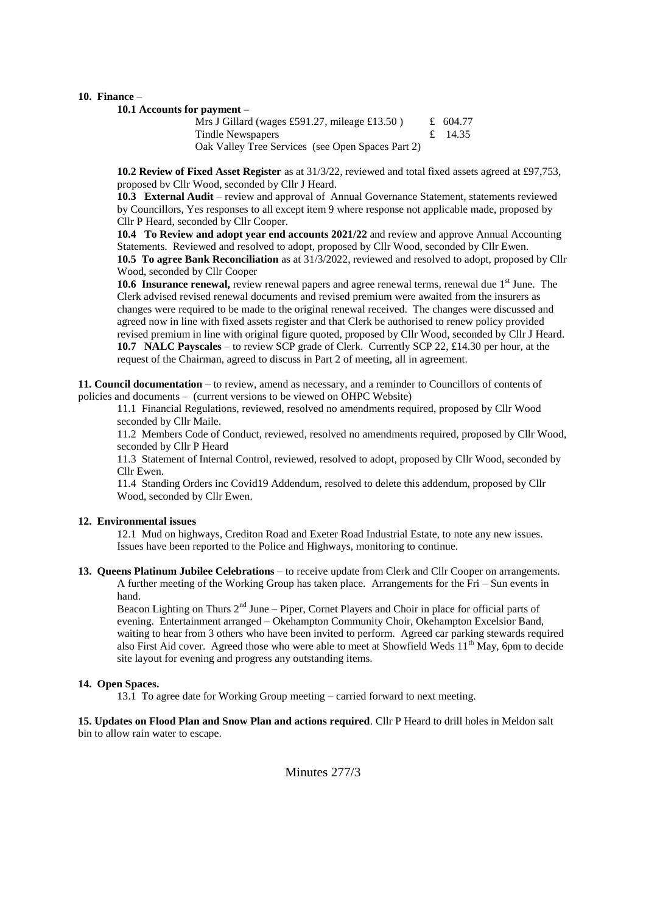#### **10. Finance** –

**10.1 Accounts for payment –**

Mrs J Gillard (wages £591.27, mileage £13.50)  $\pm$  604.77 Tindle Newspapers  $\qquad \qquad \text{if} \quad 14.35$ Oak Valley Tree Services (see Open Spaces Part 2)

**10.2 Review of Fixed Asset Register** as at 31/3/22, reviewed and total fixed assets agreed at £97,753, proposed bv Cllr Wood, seconded by Cllr J Heard.

**10.3 External Audit** – review and approval of Annual Governance Statement, statements reviewed by Councillors, Yes responses to all except item 9 where response not applicable made, proposed by Cllr P Heard, seconded by Cllr Cooper.

**10.4 To Review and adopt year end accounts 2021/22** and review and approve Annual Accounting Statements. Reviewed and resolved to adopt, proposed by Cllr Wood, seconded by Cllr Ewen. **10.5 To agree Bank Reconciliation** as at 31/3/2022, reviewed and resolved to adopt, proposed by Cllr Wood, seconded by Cllr Cooper

**10.6 Insurance renewal,** review renewal papers and agree renewal terms, renewal due 1<sup>st</sup> June. The Clerk advised revised renewal documents and revised premium were awaited from the insurers as changes were required to be made to the original renewal received. The changes were discussed and agreed now in line with fixed assets register and that Clerk be authorised to renew policy provided revised premium in line with original figure quoted, proposed by Cllr Wood, seconded by Cllr J Heard. **10.7 NALC Payscales** – to review SCP grade of Clerk. Currently SCP 22, £14.30 per hour, at the request of the Chairman, agreed to discuss in Part 2 of meeting, all in agreement.

**11. Council documentation** – to review, amend as necessary, and a reminder to Councillors of contents of policies and documents – (current versions to be viewed on OHPC Website)

11.1 Financial Regulations, reviewed, resolved no amendments required, proposed by Cllr Wood seconded by Cllr Maile.

11.2 Members Code of Conduct, reviewed, resolved no amendments required, proposed by Cllr Wood, seconded by Cllr P Heard

11.3 Statement of Internal Control, reviewed, resolved to adopt, proposed by Cllr Wood, seconded by Cllr Ewen.

11.4 Standing Orders inc Covid19 Addendum, resolved to delete this addendum, proposed by Cllr Wood, seconded by Cllr Ewen.

#### **12. Environmental issues**

12.1 Mud on highways, Crediton Road and Exeter Road Industrial Estate, to note any new issues. Issues have been reported to the Police and Highways, monitoring to continue.

#### **13. Queens Platinum Jubilee Celebrations** – to receive update from Clerk and Cllr Cooper on arrangements. A further meeting of the Working Group has taken place. Arrangements for the Fri – Sun events in hand.

Beacon Lighting on Thurs  $2<sup>nd</sup>$  June – Piper, Cornet Players and Choir in place for official parts of evening. Entertainment arranged – Okehampton Community Choir, Okehampton Excelsior Band, waiting to hear from 3 others who have been invited to perform. Agreed car parking stewards required also First Aid cover. Agreed those who were able to meet at Showfield Weds 11<sup>th</sup> May, 6pm to decide site layout for evening and progress any outstanding items.

#### **14. Open Spaces.**

13.1 To agree date for Working Group meeting – carried forward to next meeting.

## **15. Updates on Flood Plan and Snow Plan and actions required**. Cllr P Heard to drill holes in Meldon salt bin to allow rain water to escape.

Minutes 277/3